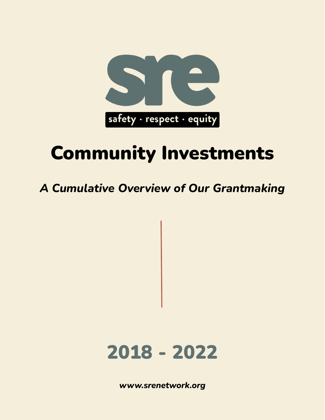

# Community Investments

### *A Cumulative Overview of Our Grantmaking*



*[www.srenetwork.org](http://www.safetyrespectequity.org)*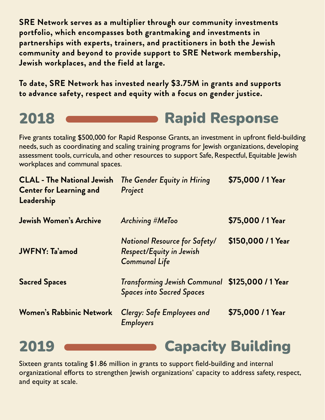**SRE Network serves as a multiplier through our community investments portfolio, which encompasses both grantmaking and investments in partnerships with experts, trainers, and practitioners in both the Jewish community and beyond to provide support to SRE Network membership, Jewish workplaces, and the field at large.**

**To date, SRE Network has invested nearly \$3.75M in grants and supports to advance safety, respect and equity with a focus on gender justice.**

## 2018 **CHARGE RAPID Rapid Response**

Five grants totaling \$500,000 for Rapid Response Grants, an investment in upfront field-building needs, such as coordinating and scaling training programs for Jewish organizations, developing assessment tools, curricula, and other resources to support Safe, Respectful, Equitable Jewish workplaces and communal spaces.

| <b>CLAL - The National Jewish</b><br><b>Center for Learning and</b><br>Leadership | The Gender Equity in Hiring<br>Project                                                   | \$75,000 / 1 Year  |
|-----------------------------------------------------------------------------------|------------------------------------------------------------------------------------------|--------------------|
| <b>Jewish Women's Archive</b>                                                     | Archiving #MeToo                                                                         | \$75,000 / 1 Year  |
| <b>JWFNY: Ta'amod</b>                                                             | National Resource for Safety/<br><b>Respect/Equity in Jewish</b><br><b>Communal Life</b> | \$150,000 / 1 Year |
| <b>Sacred Spaces</b>                                                              | Transforming Jewish Communal \$125,000 / 1 Year<br><b>Spaces into Sacred Spaces</b>      |                    |
| <b>Women's Rabbinic Network</b>                                                   | <b>Clergy: Safe Employees and</b><br><b>Employers</b>                                    | \$75,000 / 1 Year  |
|                                                                                   |                                                                                          |                    |

Sixteen grants totaling \$1.86 million in grants to support field-building and internal organizational efforts to strengthen Jewish organizations' capacity to address safety, respect, and equity at scale.

2019 **Capacity Building**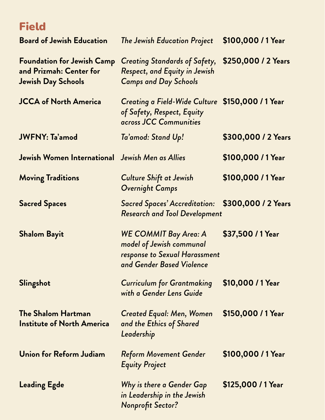### Field

| <b>Board of Jewish Education</b>                                                          | <b>The Jewish Education Project</b>                                                                                    | \$100,000 / 1 Year  |
|-------------------------------------------------------------------------------------------|------------------------------------------------------------------------------------------------------------------------|---------------------|
| <b>Foundation for Jewish Camp</b><br>and Prizmah: Center for<br><b>Jewish Day Schools</b> | Creating Standards of Safety,<br>Respect, and Equity in Jewish<br><b>Camps and Day Schools</b>                         | \$250,000 / 2 Years |
| <b>JCCA of North America</b>                                                              | Creating a Field-Wide Culture \$150,000 / 1 Year<br>of Safety, Respect, Equity<br>across JCC Communities               |                     |
| <b>JWFNY: Ta'amod</b>                                                                     | Ta'amod: Stand Up!                                                                                                     | \$300,000 / 2 Years |
| Jewish Women International Jewish Men as Allies                                           |                                                                                                                        | \$100,000 / 1 Year  |
| <b>Moving Traditions</b>                                                                  | <b>Culture Shift at Jewish</b><br><b>Overnight Camps</b>                                                               | \$100,000 / 1 Year  |
| <b>Sacred Spaces</b>                                                                      | <b>Sacred Spaces' Accreditation:</b><br><b>Research and Tool Development</b>                                           | \$300,000 / 2 Years |
| <b>Shalom Bayit</b>                                                                       | <b>WE COMMIT Bay Area: A</b><br>model of Jewish communal<br>response to Sexual Harassment<br>and Gender Based Violence | \$37,500 / 1 Year   |
| Slingshot                                                                                 | <b>Curriculum for Grantmaking</b><br>with a Gender Lens Guide                                                          | \$10,000 / 1 Year   |
| <b>The Shalom Hartman</b><br><b>Institute of North America</b>                            | <b>Created Equal: Men, Women</b><br>and the Ethics of Shared<br>Leadership                                             | \$150,000 / 1 Year  |
| <b>Union for Reform Judiam</b>                                                            | <b>Reform Movement Gender</b><br><b>Equity Project</b>                                                                 | \$100,000 / 1 Year  |
| <b>Leading Egde</b>                                                                       | Why is there a Gender Gap<br>in Leadership in the Jewish<br><b>Nonprofit Sector?</b>                                   | \$125,000 / 1 Year  |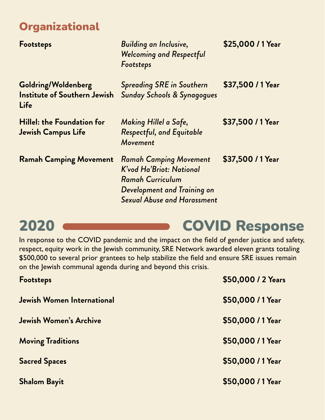### **Organizational**

| <b>Footsteps</b>                                                   | <b>Building an Inclusive,</b><br><b>Welcoming and Respectful</b><br>Footsteps                                                                             | \$25,000 / 1 Year |
|--------------------------------------------------------------------|-----------------------------------------------------------------------------------------------------------------------------------------------------------|-------------------|
| Goldring/Woldenberg<br><b>Institute of Southern Jewish</b><br>Life | <b>Spreading SRE in Southern</b><br><b>Sunday Schools &amp; Synagogues</b>                                                                                | \$37,500 / 1 Year |
| Hillel: the Foundation for<br><b>Jewish Campus Life</b>            | Making Hillel a Safe,<br><b>Respectful, and Equitable</b><br>Movement                                                                                     | \$37,500 / 1 Year |
| <b>Ramah Camping Movement</b>                                      | <b>Ramah Camping Movement</b><br>K'vod Ha'Briot: National<br><b>Ramah Curriculum</b><br>Development and Training on<br><b>Sexual Abuse and Harassment</b> | \$37,500 / 1 Year |

## 2020 **COVID Response**

In response to the COVID pandemic and the impact on the field of gender justice and safety, respect, equity work in the Jewish community, SRE Network awarded eleven grants totaling \$500,000 to several prior grantees to help stabilize the field and ensure SRE issues remain on the Jewish communal agenda during and beyond this crisis.

| Footsteps                         | \$50,000 / 2 Years |
|-----------------------------------|--------------------|
| <b>Jewish Women International</b> | \$50,000 / 1 Year  |
| <b>Jewish Women's Archive</b>     | \$50,000 / 1 Year  |
| <b>Moving Traditions</b>          | \$50,000 / 1 Year  |
| <b>Sacred Spaces</b>              | \$50,000 / 1 Year  |
| <b>Shalom Bayit</b>               | \$50,000 / 1 Year  |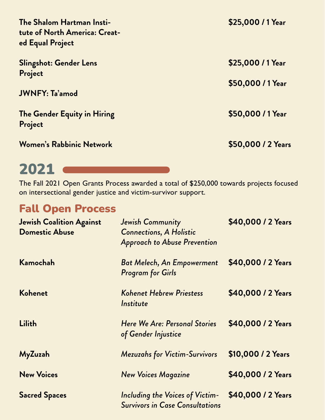| The Shalom Hartman Insti-<br>tute of North America: Creat-<br>ed Equal Project | \$25,000 / 1 Year  |
|--------------------------------------------------------------------------------|--------------------|
| <b>Slingshot: Gender Lens</b><br>Project                                       | \$25,000 / 1 Year  |
| <b>JWNFY: Ta'amod</b>                                                          | \$50,000 / 1 Year  |
| The Gender Equity in Hiring<br>Project                                         | \$50,000 / 1 Year  |
| <b>Women's Rabbinic Network</b>                                                | \$50,000 / 2 Years |

### 2021

The Fall 2021 Open Grants Process awarded a total of \$250,000 towards projects focused on intersectional gender justice and victim-survivor support.

### Fall Open Process

| <b>Jewish Coalition Against</b><br><b>Domestic Abuse</b> | Jewish Community<br><b>Connections, A Holistic</b><br><b>Approach to Abuse Prevention</b> | \$40,000 / 2 Years |
|----------------------------------------------------------|-------------------------------------------------------------------------------------------|--------------------|
| Kamochah                                                 | <b>Bat Melech, An Empowerment</b><br><b>Program for Girls</b>                             | \$40,000 / 2 Years |
| Kohenet                                                  | Kohenet Hebrew Priestess<br>Institute                                                     | \$40,000 / 2 Years |
| <b>Lilith</b>                                            | Here We Are: Personal Stories<br>of Gender Injustice                                      | \$40,000 / 2 Years |
| MyZuzah                                                  | <b>Mezuzahs for Victim-Survivors</b>                                                      | \$10,000 / 2 Years |
| <b>New Voices</b>                                        | <b>New Voices Magazine</b>                                                                | \$40,000 / 2 Years |
| <b>Sacred Spaces</b>                                     | Including the Voices of Victim-<br><b>Survivors in Case Consultations</b>                 | \$40,000 / 2 Years |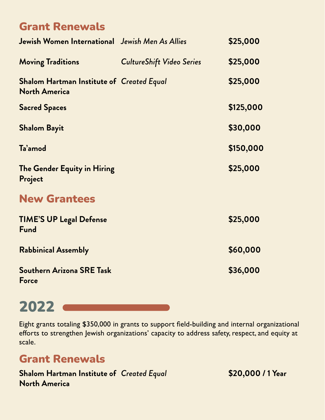### Grant Renewals

| Jewish Women International Jewish Men As Allies                          |                                  | \$25,000  |
|--------------------------------------------------------------------------|----------------------------------|-----------|
| <b>Moving Traditions</b>                                                 | <b>CultureShift Video Series</b> | \$25,000  |
| <b>Shalom Hartman Institute of Created Equal</b><br><b>North America</b> |                                  | \$25,000  |
| <b>Sacred Spaces</b>                                                     |                                  | \$125,000 |
| <b>Shalom Bayit</b>                                                      |                                  | \$30,000  |
| Ta'amod                                                                  |                                  | \$150,000 |
| The Gender Equity in Hiring<br>Project                                   |                                  | \$25,000  |
| <b>New Grantees</b>                                                      |                                  |           |
| <b>TIME'S UP Legal Defense</b><br>Fund                                   |                                  | \$25,000  |
| <b>Rabbinical Assembly</b>                                               |                                  | \$60,000  |
| <b>Southern Arizona SRE Task</b><br>Force                                |                                  | \$36,000  |

## 2022

Eight grants totaling \$350,000 in grants to support field-building and internal organizational efforts to strengthen Jewish organizations' capacity to address safety, respect, and equity at scale.

### Grant Renewals

**Shalom Hartman Institute of North America**

*Created Equal* **\$20,000 / 1 Year**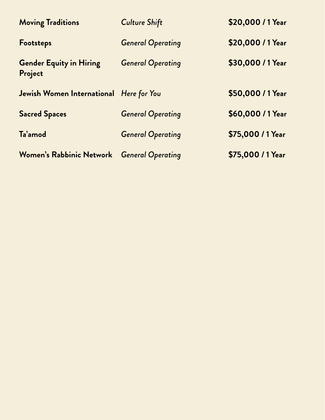| <b>Moving Traditions</b>                   | <b>Culture Shift</b>     | \$20,000 / 1 Year |
|--------------------------------------------|--------------------------|-------------------|
| Footsteps                                  | <b>General Operating</b> | \$20,000 / 1 Year |
| <b>Gender Equity in Hiring</b><br>Project  | <b>General Operating</b> | \$30,000 / 1 Year |
| Jewish Women International Here for You    |                          | \$50,000 / 1 Year |
| <b>Sacred Spaces</b>                       | <b>General Operating</b> | \$60,000 / 1 Year |
| Ta'amod                                    | <b>General Operating</b> | \$75,000 / 1 Year |
| Women's Rabbinic Network General Operating |                          | \$75,000 / 1 Year |